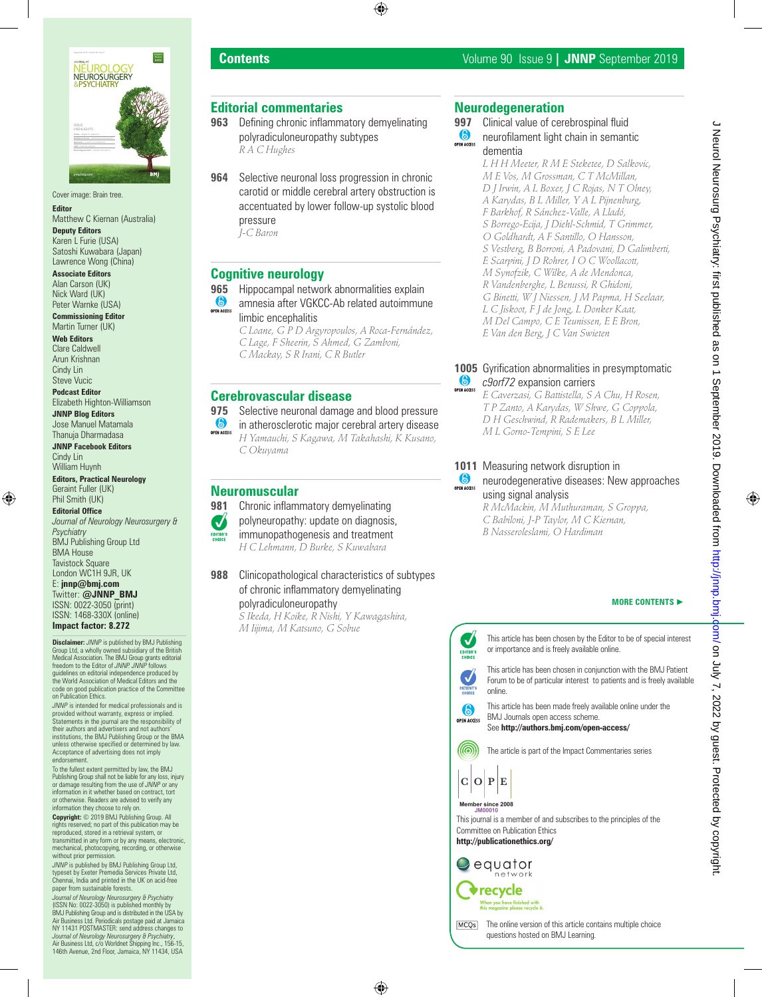

Cover image: Brain tree.

**Editor** Matthew C Kiernan (Australia)

**Deputy Editors** Karen L Furie (USA) Satoshi Kuwabara (Japan)

Lawrence Wong (China) **Associate Editors** Alan Carson (UK) Nick Ward (UK)

Peter Warnke (USA) **Commissioning Editor** Martin Turner (UK)

**Web Editors**

Clare Caldwell Arun Krishnan Cindy Lin Steve Vucic

**Podcast Editor** Elizabeth Highton-Williamson

**JNNP Blog Editors** Jose Manuel Matamala Thanuja Dharmadasa

**JNNP Facebook Editors** Cindy Lin William Huynh

**Editors, Practical Neurology** Geraint Fuller (UK) Phil Smith (UK)

**Editorial Office** *Journal of Neurology Neurosurgery & Psychiatry* BMJ Publishing Group Ltd BMA House Tavistock Square London WC1H 9JR, UK E: **jnnp@bmj.com** Twitter: **@JNNP\_BMJ** ISSN: 0022-3050 (print) ISSN: 1468-330X (online) **Impact factor: 8.272 Disclaimer:** *JNNP* is published by BMJ Publishing

Group Ltd, a wholly owned subsidiary of the British Medical Association. The BMJ Group grants editorial freedom to the Editor of *JNNP. JNNP* follows guidelines on editorial independence produced by the World Association of Medical Editors and the code on good publication practice of the Committee on Publication Ethics.

*JNNP* is intended for medical professionals and is provided without warranty, express or implied. Statements in the journal are the responsibility of their authors and advertisers and not authors' institutions, the BMJ Publishing Group or the BMA unless otherwise specified or determined by law. Acceptance of advertising does not imply endorsement

To the fullest extent permitted by law, the BMJ Publishing Group shall not be liable for any loss, injury or damage resulting from the use of *JNNP* or any information in it whether based on contract, tort or otherwise. Readers are advised to verify any information they choose to rely on.

**Copyright:** © 2019 BMJ Publishing Group. All rights reserved; no part of this publication may be reproduced, stored in a retrieval system, or transmitted in any form or by any means, electronic, mechanical, photocopying, recording, or otherwise without prior permission.

*JNNP* is published by BMJ Publishing Group Ltd, typeset by Exeter Premedia Services Private Ltd, Chennai, India and printed in the UK on acid-free paper from sustainable forests.

*Journal of Neurology Neurosurgery & Psychiatry*  (ISSN No: 0022-3050) is published monthly by BMJ Publishing Group and is distributed in the USA by Air Business Ltd. Periodicals postage paid at Jamaica NY 11431 POSTMASTER: send address changes to *Journal of Neurology Neurosurgery & Psychiatry*, Air Business Ltd, c/o Worldnet Shipping Inc., 156-15, 146th Avenue, 2nd Floor, Jamaica, NY 11434, USA

## **Editorial commentaries**

- **963** Defining chronic inflammatory demyelinating polyradiculoneuropathy subtypes *R A C Hughes*
- **964** Selective neuronal loss progression in chronic carotid or middle cerebral artery obstruction is accentuated by lower follow-up systolic blood pressure *J-C Baron*

## **Cognitive neurology**

- 
- **965** Hippocampal network abnormalities explain<br> **C** amnesia after VGKCC-Ab related autoimmur amnesia after VGKCC-Ab related autoimmune limbic encephalitis
	- *C Loane, G P D Argyropoulos, A Roca-Fernández, C Lage, F Sheerin, S Ahmed, G Zamboni, C Mackay, S R Irani, C R Butler*

## **Cerebrovascular disease**

**975** Selective neuronal damage and blood pressure **OPEN ACCESS** in atherosclerotic major cerebral artery disease

*H Yamauchi, S Kagawa, M Takahashi, K Kusano, C Okuyama*

## **Neuromuscular**

- **981** Chronic inflammatory demyelinating
- polyneuropathy: update on diagnosis, Ø
- immunopathogenesis and treatment EDITOR'S<br>CHOICE
	- *H C Lehmann, D Burke, S Kuwabara*
- **988** Clinicopathological characteristics of subtypes of chronic inflammatory demyelinating polyradiculoneuropathy

*S Ikeda, H Koike, R Nishi, Y Kawagashira, M Iijima, M Katsuno, G Sobue*

# **Neurodegeneration**

- 
- **997** Clinical value of cerebrospinal fluid neurofilament light chain in semantic dementia

*L H H Meeter, R M E Steketee, D Salkovic, M E Vos, M Grossman, C T McMillan, D J Irwin, A L Boxer, J C Rojas, N T Olney, A Karydas, B L Miller, Y A L Pijnenburg, F Barkhof, R Sánchez-Valle, A Lladó, S Borrego-Ecija, J Diehl-Schmid, T Grimmer, O Goldhardt, A F Santillo, O Hansson, S Vestberg, B Borroni, A Padovani, D Galimberti, E Scarpini, J D Rohrer, I O C Woollacott, M Synofzik, C Wilke, A de Mendonca, R Vandenberghe, L Benussi, R Ghidoni, G Binetti, W J Niessen, J M Papma, H Seelaar, L C Jiskoot, F J de Jong, L Donker Kaat, M Del Campo, C E Teunissen, E E Bron, E Van den Berg, J C Van Swieten*

#### **1005** Gyrification abnormalities in presymptomatic 6 *c9orf72* expansion carriers

*E Caverzasi, G Battistella, S A Chu, H Rosen, T P Zanto, A Karydas, W Shwe, G Coppola, D H Geschwind, R Rademakers, B L Miller, M L Gorno-Tempini, S E Lee*

## **1011** Measuring network disruption in

6 neurodegenerative diseases: New approaches OPEN ACCES using signal analysis

*R McMackin, M Muthuraman, S Groppa, C Babiloni, J-P Taylor, M C Kiernan, B Nasseroleslami, O Hardiman*

#### **MORE CONTENTS** ►



J Neurol Neurosurg Psychiatry: first published as on 1 September 2019. Downloaded from http://jnnp.bmj.dom/ on July 7, 2022 by guest. Protected by copyright J Neurol Neurosurg Psychiatry: first published as on 1 September 2019. Downloaded from http://jnnp.bm/ J My 7, 2022 by guest. Protected by copyright.

MCQ<sub>s</sub> The online version of this article contains multiple choice questions hosted on BMJ Learning.